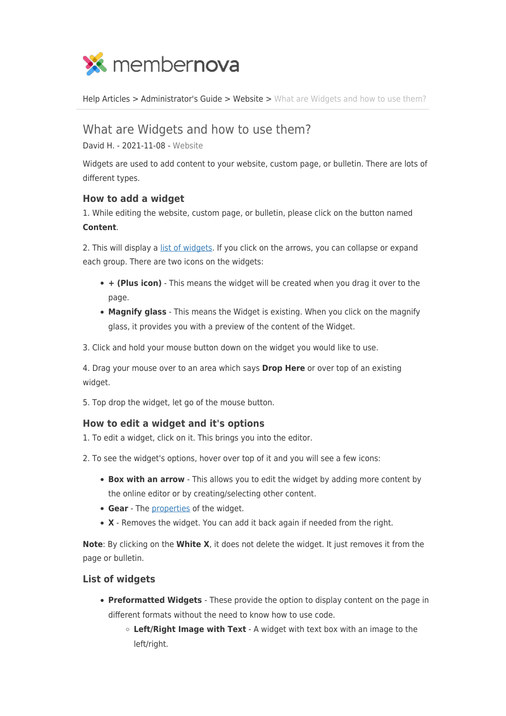

[Help Articles](https://www.membernovasupport.com/kb) > [Administrator's Guide](https://www.membernovasupport.com/kb/administrator-s-guide) > [Website](https://www.membernovasupport.com/kb/website) > [What are Widgets and how to use them?](https://www.membernovasupport.com/kb/articles/what-are-widgets-and-how-to-use-them)

# What are Widgets and how to use them?

David H. - 2021-11-08 - [Website](https://www.membernovasupport.com/kb/website)

Widgets are used to add content to your website, custom page, or bulletin. There are lots of different types.

# **How to add a widget**

1. While editing the website, custom page, or bulletin, please click on the button named **Content**.

2. This will display a [list of widgets.](#page--1-0) If you click on the arrows, you can collapse or expand each group. There are two icons on the widgets:

- **+ (Plus icon)** This means the widget will be created when you drag it over to the page.
- **Magnify glass** This means the Widget is existing. When you click on the magnify glass, it provides you with a preview of the content of the Widget.
- 3. Click and hold your mouse button down on the widget you would like to use.

4. Drag your mouse over to an area which says **Drop Here** or over top of an existing widget.

5. Top drop the widget, let go of the mouse button.

# **How to edit a widget and it's options**

1. To edit a widget, click on it. This brings you into the editor.

- 2. To see the widget's options, hover over top of it and you will see a few icons:
	- **Box with an arrow** This allows you to edit the widget by adding more content by the online editor or by creating/selecting other content.
	- **Gear** The [properties](#page--1-0) of the widget.
	- **X** Removes the widget. You can add it back again if needed from the right.

**Note**: By clicking on the **White X**, it does not delete the widget. It just removes it from the page or bulletin.

## **List of widgets**

- **Preformatted Widgets**  These provide the option to display content on the page in different formats without the need to know how to use code.
	- **Left/Right Image with Text** A widget with text box with an image to the left/right.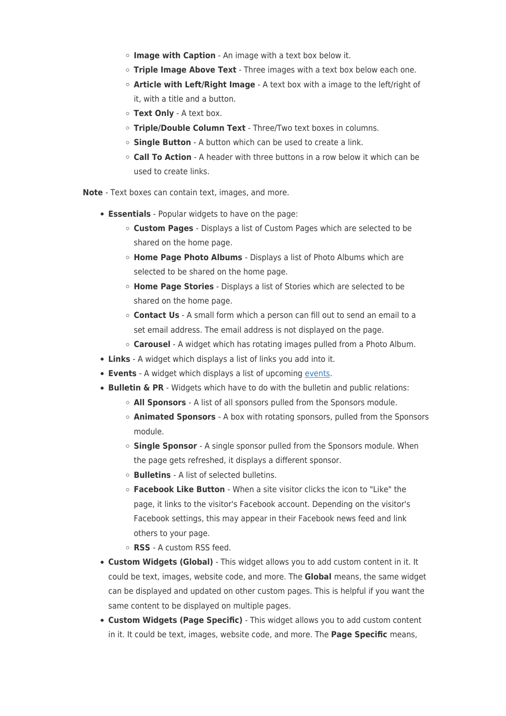- **Image with Caption** An image with a text box below it.
- **Triple Image Above Text** Three images with a text box below each one.
- **Article with Left/Right Image** A text box with a image to the left/right of it, with a title and a button.
- **Text Only** A text box.
- **Triple/Double Column Text** Three/Two text boxes in columns.
- **Single Button** A button which can be used to create a link.
- **Call To Action** A header with three buttons in a row below it which can be used to create links.

**Note** - Text boxes can contain text, images, and more.

- **Essentials** Popular widgets to have on the page:
	- **Custom Pages**  Displays a list of Custom Pages which are selected to be shared on the home page.
	- **Home Page Photo Albums**  Displays a list of Photo Albums which are selected to be shared on the home page.
	- **Home Page Stories** Displays a list of Stories which are selected to be shared on the home page.
	- **Contact Us** A small form which a person can fill out to send an email to a set email address. The email address is not displayed on the page.
	- **Carousel** A widget which has rotating images pulled from a Photo Album.
- **Links** A widget which displays a list of links you add into it.
- **Events** A widget which displays a list of upcoming [events](https://www.membernovasupport.com/kb/events-3).
- **Bulletin & PR** Widgets which have to do with the bulletin and public relations:
	- **All Sponsors**  A list of all sponsors pulled from the Sponsors module.
	- **Animated Sponsors**  A box with rotating sponsors, pulled from the Sponsors module.
	- **Single Sponsor**  A single sponsor pulled from the Sponsors module. When the page gets refreshed, it displays a different sponsor.
	- **Bulletins**  A list of selected bulletins.
	- **Facebook Like Button**  When a site visitor clicks the icon to "Like" the page, it links to the visitor's Facebook account. Depending on the visitor's Facebook settings, this may appear in their Facebook news feed and link others to your page.
	- **RSS**  A custom RSS feed.
- **Custom Widgets (Global)** This widget allows you to add custom content in it. It could be text, images, website code, and more. The **Global** means, the same widget can be displayed and updated on other custom pages. This is helpful if you want the same content to be displayed on multiple pages.
- **Custom Widgets (Page Specific)** This widget allows you to add custom content in it. It could be text, images, website code, and more. The **Page Specific** means,